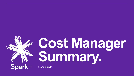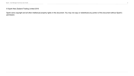#### © Spark New Zealand Trading Limited 2016

Spark owns copyright and all other intellectual property rights in this document. You may not copy or redistribute any portion of this document without Spark's permission.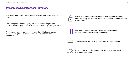#### **Welcome to Cost Manager Summary.**

Welcome to the most advanced tool for analysing telecommunications data.

Cost Manager is a self-managed, web-based bill reporting tool that provides access to paperless billing, and is used to analyse usage & costs.

From the moment you log in, you will have the ability to view standard reports and graphs, to help you analyse your telecommunications information.

Access up to 12 months of bills (starting from the date switched to paperless billing), via a secure portal. Your information remains safely in New Zealand.



Monitor your telecommunications usage & costs to identify inefficiencies and improvement opportunities.



View predefined reports, to focus on specific areas of interest.



Save time by scheduling reports to be delivered to nominated recipients each month.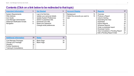# **Contents (Click on a link below to be redirected to that topic)**

| <b>Important Information</b>         | 5 | <b>Get Started</b>               |    | <b>Account Display</b>          | 14 | <b>Reports</b>                   |    |
|--------------------------------------|---|----------------------------------|----|---------------------------------|----|----------------------------------|----|
| <b>System Requirements</b>           | 6 | Log In for first time            | 10 | Background                      | 15 | Overview                         |    |
| <b>Web Address</b>                   |   | Update your personal details     | 10 | Select the accounts you want to | 15 | Produce a Report                 |    |
| Icon Guide                           |   | <b>Update System Preferences</b> |    | see                             |    | <b>Column Sorting</b>            |    |
| <b>Cost Manager Administrator</b>    |   | Switch to paperless bills        | 12 |                                 |    | <b>Expanding the View</b>        | 19 |
| <b>Statement Notification Emails</b> | 8 | Download your bills              | 13 |                                 |    | Hyperlinks                       | 19 |
| Navigation                           |   | Reset your password              | 13 |                                 |    | <b>Export Reports</b>            |    |
|                                      |   | Change email preferences         | 13 |                                 |    | <b>Schedule Reports</b>          | 21 |
|                                      |   |                                  |    |                                 |    | Order a scheduled report         | 22 |
|                                      |   |                                  |    |                                 |    | Download Centre                  | 26 |
|                                      |   |                                  |    |                                 |    | View Completed or Pending Report | 27 |
|                                      |   |                                  |    |                                 |    | Edit a Pending Report Order      | 27 |

| <b>Additional Information</b>                                                                                                | 28                         | <b>Notes</b>                           | 32       |
|------------------------------------------------------------------------------------------------------------------------------|----------------------------|----------------------------------------|----------|
| Cost Manager Packages<br>Change your Package<br>Glossary<br><b>Further Assistance</b><br><b>Training &amp; Consultations</b> | 29<br>29<br>30<br>31<br>31 | <b>Blank Page</b><br><b>Blank Page</b> | 33<br>34 |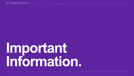# <span id="page-4-0"></span>**Important Information.**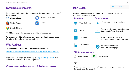### **System Requirements.**

For optimal results, use an internet enabled desktop computer with one of these browsers:



Microsoft Edge **Internet Explorer 11** 



Mozilla Firefox





Cost Manager can also be used on a mobile or tablet device.

When using a mobile or tablet device, please note that there may be some limitations, depending on your device type.

#### **Web Address.**

Cost Manager is accessed online at the following URL:

<https://www.costmanager.co.nz/cv/scripts/DAC0/eng/log.asp?gru=936376791>

Alternatively, you can log in through the [Spark Digital Portal,](http://www.sparkdigital.co.nz/) then select **Cost Manager** from the **Login** area.

**We recommend bookmarking these URLs for easy access.**

# **Icon Guide.**

Cost Manager uses icons representing common tasks that can be completed within the application.



If you are unsure what an icon is for, you can hover your mouse over the icon to view the icon text.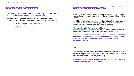#### **Cost Manager Administrator.**

Cost Manager is a self-managed application and your organisation has appointed you as the **Cost Manager Administrator.**

As the Cost Manager Administrator, you are responsible for all maintenance and reporting functions for your organisation including:

- Downloading bill documents/invoices.
- Ordering recurring reports

# **Statement notification emails.**

Each month, we'll send an email to your registered email address when your statement (which is a summary of charges) is available to review online.

Cost Manager Summary provides 1 login and therefore 1 email address where the statement notification login will be sent. No further email addresses can be added under the Summary package.

The monthly notification email is sent from [reports@costmanager.spark.co.nz.](mailto:reports@costmanager.spark.co.nz) Please add this address to your authorised senders list to avoid this email being treated as spam.

**Your bill document/invoice is being uploaded into Cost Manager when this email is sent, and it can sometimes take up to 72 hours from the date you receive this notification before you can download your bill.**

#### **Tip:**

The email notification is sent when the statement is available to review in Cost Manager. This email provides the \$ value of the total number of bills that have been loaded for you that day.

**It can take up to 72 hours after the statement notification email is sent to download the bill document.**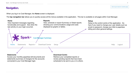### **Navigation.**

When you log in to Cost Manager, the **Home** screen is displayed.

The **top navigation bar** allows you to quickly access all the menus available in the application. This bar is available on all pages within Cost Manager.

#### **Home Reports Setup** View, schedule or export Summary or Detail reports View important messages regarding Setup is the control centre of the application. Go functionality and support. See when the showing your communications usage and costs here if you need to change your user details such as last activity on your login occurred. displayed as graphs or tables. email or password, change your bills to paperless billing and other general settings.park<sup>nz</sup> **Cost Manager Summary** Home Reports -**Download Centre** Setup **Help Statements** Logout **Statements Download Centre**

Access your monthly paperless bill documents and statements (summary of charges) for the accounts connected to your Cost Manager login.

Retrieve your completed reports or review pending reports that have been scheduled to be sent to you or to others.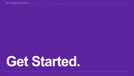# <span id="page-8-0"></span>**Get Started.**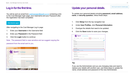# **Log in for the first time.**

You will be sent an email from [costmanager@spark.co.nz](mailto:costmanager@spark.co.nz) containing a link to the Cost Manager login page, your Username and your Password after the registration has been completed.

#### **Click Here to Log In**

After navigating to the Cost Manager Log In page:

- 1. Enter your **Username** in the Username field
- 2. Enter your **Password** in the Password field
- 3. Click the **Login** button to continue

Note: The password field is case sensitive and we suggest copying the password from the email sent to you.



# **Update your personal details.**

To update your personal details including **password, email address**, **name**, or **security question**, follow these steps:

- 1. Click **Setup** from the top navigation bar.
- 2. Under **User Profiles**, click **Personal Information**.
- 3. Overtype the details that need to be updated.
- 4. Click the **Save** button to save your changes.



#### **Tip:**

If you are the Administrator and you are changing roles and need to replace your details with another user, use these steps to update the name, email address and password of the new Administrator.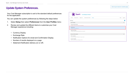#### **Update System Preferences.**

Your Cost Manager subscription is set to the standard default preferences for the application.

You can update the system preferences by following the steps below

- 1. Select **Setup** then select **Preferences** from the **User Profiles** menu
- 2. Review and update the different items to customise your Cost Manager experience including:
	- Currency Display
	- Exchange Rate
	- Notification Options for email and Confirmation Display
	- Number of results displayed on a page
	- Statement Notification delivery (on or off)

#### Spark<sup>nz</sup> Cost Manager Summary Home Statements Reports > Download Centre Setup Help Logout ❸ Setup **User Profiles**  $\checkmark$ **Personal Information** Change your login, password, and e-mail address. Preferences Change your user preferences **Paperless Billing** Change the paperless billing settings for your accounts **Account Information**  $\checkmark$ **SFTP Locations** Create and manage SFTP locations for report orders. **Account Display** Determine which accounts will appear online.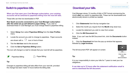# **Switch to paperless bills.**

**When you first open your Cost Manager subscription, your existing accounts will be switched to paperless billing from the next bill date.** 

These bills can then be downloaded in PDF.

**New Spark accounts connected to your Cost Manager subscription after the initial set up will default to paper billing**. If you wish to download these in Cost Manager you must change these to paperless billing.

- 1. Select **Setup** then select **Paperless Billing** from the **User Profiles**  menu
- 2. Locate the account you wish to change to paperless. Paper accounts

are shown with a  $\Box$  icon in front of them

- 3. Tick the **tick box** next to the account.
- 4. Click the **Set to Paperless Billing** button.

The icon will change to a leaf to indicate that your next bill will be paperless.



|  |  | <b>Paper Billing</b> |
|--|--|----------------------|
|  |  |                      |

#### **Tip:**

Changes to paperless billing will take effect from your next bill, provided the change has been made 72 hours before the billing date.

# **Download your bills.**

Cost Manager stores 12 months of bills in PDF format commencing the month **after** you switch to paperless bills. These can be downloaded and electronically stored or printed as needed.

- 1. Click **Statements** from the top navigation bar.
- 2. Select the month you require from the **Month** drop down box.
- 3. Locate the statement you wish to view from screen.
- 4. Click the **Bill Document** link.

Note: If you can't see the Bill Document link, click the **Documents** button instead.

5. Click the **Download** link from the pop up window that appears, followed by **Legal Invoices.**

The bill document PDF will appear on screen.



Click to view video [demonstration](https://gcs-vimeo.akamaized.net/exp=1565919771~acl=%2A%2F852768522.mp4%2A~hmac=18b5eb2bd223bd4fb7d9bc0b6b31149de90092ba3ad35ebfa5f1e9c12e9f9ff7/vimeo-prod-skyfire-std-us/01/2736/9/238681449/852768522.mp4)

**Tip:**

It is your responsibility to store your bills for 7 years to meet your tax obligations.

**It can take up to 72 hours after the statement notification email is sent to download the bill document.**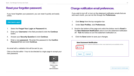#### **Reset your forgotten password.**

If you have forgotten your password, you can reset it quickly and easily online.

#### **Click Here to Log In**

- 1. Select the **Forgot Your Login or Password** link.
- 2. Enter your **Username** in the field provided & click the **Continue**  button.
- 4. Answer your **Security Question** & click **Continue**.
- 5. Enter a new **password**. Re-enter this password in the **Confirm Password** field and click **Continue.**

An email with a validation link will be sent to you.

Click on the link within 1 hour to be directed to a login page to accept your new password.



Click to view video [demonstration](https://player.vimeo.com/external/238681449.hd.mp4?s=621ccfa3ec3a509a098853af05ca9bde2edce958&profile_id=174)

### **Change notification email preferences.**

If you wish to turn off, or turn on the statement notification emails that are sent each month, you can do this through the **Preferences.** 

- 1. Click **Setup** from the top navigation bar.
- 2. Under **User Profiles**, click **Preferences**.
- 3. Scroll to the bottom of the page and untick the tickbox next to **Email** in the **New Statement Notification** area to turn the statement notification off. **Tick** the tickbox to turn the statement notification on.
- 4. Click the **Save** button to save your changes.

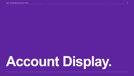# <span id="page-13-0"></span>**Account Display.**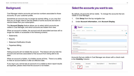### **Background.**

Cost Manager retains accounts and service numbers associated to those accounts, for your customer profile.

Sometimes an account may no longer be actively billing, or you may find that you no longer need to see the details of some accounts and want to remove these from your subscription.

The **Account Display** feature allows you to select which accounts are visible in Cost Manager, and which accounts are hidden from view.

When an account is hidden, the account and all associated services will no longer be visible or accessible in the following screens:

- Statements
- Reports
- Statement Notification Emails
- Paperless Billing

#### **Tip**:

Hiding accounts will not delete the account. This feature will only hide the account and services associated to that account from being able to be seen.

When an account is hidden, it is hidden across all time. There is no ability to hide an account before or after an effective date.

If you log in you cannot see an account or is unable to return report results as expected, please check that the account is not hidden.

#### **Select the accounts you want to see.**

By default, all accounts will be visible. To change the accounts that are visible in Cost Manager:

- 1. Click **Setup** from the top navigation bar.
- 2. Under **Account Information**, click **Account Display**.

| Spark <sup>nz</sup> Cost Manager Summary                                             |      |             |
|--------------------------------------------------------------------------------------|------|-------------|
| <b>Download Centre</b><br>Home<br>Reports-<br>Setup<br><b>Statements</b>             | Help | Logout      |
| Setup                                                                                |      | 2           |
| <b>User Profiles</b>                                                                 |      | $\check{ }$ |
| <b>Personal Information</b><br>Change your login, password, and e-mail address.      |      |             |
| <b>Preferences</b><br>Change your user preferences.                                  |      |             |
| <b>Paperless Billing</b><br>Change the paperless billing settings for your accounts. |      |             |
| <b>Account Information</b>                                                           |      |             |
| <b>SFTP Locations</b><br>Create and manage SFTP locations for report orders.         |      |             |
| <b>Account Display</b><br>Determine which accounts will appear online.               |      |             |
|                                                                                      |      |             |

Accounts that are visible in Cost Manager are shown with a check mark in the **Visibility** Column:

| <b>Visibility</b> | It | Account | ı٠ | <b>Description 1</b> | <b>Description 2</b> | ٠ |
|-------------------|----|---------|----|----------------------|----------------------|---|
|                   |    | 5376    |    |                      |                      |   |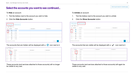### **Select the accounts you want to see continued...**

To **Hide** an account:

- 1. Tick the tickbox next to the account you wish to hide.
- 2. Click the **Hide Accounts** button.

| Show                    | <b>Hide Accounts</b><br>Entries<br>$\checkmark$<br>$1 - 5$ | <b>Show Accounts</b> |    |                      |         |                      |          |                               |
|-------------------------|------------------------------------------------------------|----------------------|----|----------------------|---------|----------------------|----------|-------------------------------|
| $\blacksquare$          | <b>Visibility</b><br>11                                    | <b>Account</b>       | 1t | <b>Description 1</b> | $\pm$ 1 | <b>Description 2</b> |          | 11                            |
| $\overline{\mathbf{v}}$ | $\checkmark$                                               | 153769               |    |                      |         |                      |          |                               |
| K                       | $\checkmark$                                               | 245764               |    |                      |         |                      |          |                               |
| $\Box$                  | $\checkmark$                                               | 245978               |    |                      |         |                      |          |                               |
| $\Box$                  | $\checkmark$                                               | 246101               |    |                      |         |                      |          |                               |
| $\Box$                  | $\checkmark$                                               | 304496               |    |                      |         |                      |          |                               |
| $\Box$                  | $\checkmark$                                               | 310844               |    |                      |         |                      |          |                               |
|                         | Showing 0 to 6 of 6 entries                                |                      |    |                      |         |                      | Previous | $\overline{1}$<br><b>Next</b> |

#### The accounts that are hidden will be displayed with a  $\bigcirc$  icon next to it.

| Show   | $5\sqrt{2}$ |                   | Entries |                |   |                      |              |                      |     |
|--------|-------------|-------------------|---------|----------------|---|----------------------|--------------|----------------------|-----|
| $\Box$ |             | <b>Visibility</b> | $\pm$   | <b>Account</b> | Е | <b>Description 1</b> | $\mathbf{H}$ | <b>Description 2</b> | Jî. |
| $\Box$ |             | Ø                 |         | 15376          |   |                      |              |                      |     |
| $\Box$ |             | 0                 |         | 24576          |   |                      |              |                      |     |
| $\Box$ |             | $\checkmark$      |         | 24597          |   |                      |              |                      |     |
| $\Box$ |             | $\checkmark$      |         | 24610          |   |                      |              |                      |     |
| $\Box$ |             | $\checkmark$      |         | 30449          |   |                      |              |                      |     |
| $\Box$ |             | ✔                 |         | 31084          |   |                      |              |                      |     |

These accounts (and services attached to those accounts) will no longer be visible to any user.

To **Unhide** an account:

- 1. Tick the tickbox next to the account you wish to unhide
- 2. Click the **Show Accounts** button.

|                      | <b>Hide Accounts</b>            | <b>Show Accounts</b> |    |                            |                                               |
|----------------------|---------------------------------|----------------------|----|----------------------------|-----------------------------------------------|
| Show                 | $\checkmark$<br>Entries<br>$-5$ |                      |    |                            |                                               |
| $\blacksquare$       | <b>Visibility</b><br>11         | <b>Account</b>       | 1t | <b>Description 1</b><br>1t | <b>Description 2</b><br>$\downarrow \uparrow$ |
| $\blacktriangledown$ | 0                               | 153769               |    |                            |                                               |
| √                    | 0                               | 245764               |    |                            |                                               |
| $\Box$               | $\checkmark$                    | 245978               |    |                            |                                               |
| $\Box$               | $\checkmark$                    | 246101               |    |                            |                                               |
| $\Box$               | $\checkmark$                    | 304496               |    |                            |                                               |
| $\Box$               | $\checkmark$                    | 310844               |    |                            |                                               |
|                      | Showing 0 to 6 of 6 entries     |                      |    |                            | $\mathbf{1}$<br><b>Next</b><br>Previous       |

#### The accounts that are visible will be displayed with a  $\bullet\hspace{1mm}$  icon next to it

| □ | <b>Visibility</b><br>It | <b>Account</b> | <b>Description 1</b><br>١t | <b>Description 2</b><br>11 |
|---|-------------------------|----------------|----------------------------|----------------------------|
| □ | $\checkmark$            | 15376          |                            |                            |
| □ | $\checkmark$            | 24576          |                            |                            |
| □ | ✔                       | 24597          |                            |                            |
| □ | ✔                       | 24610          |                            |                            |
| □ | ✔                       | 30449          |                            |                            |
| □ | ✔                       | 31084          |                            |                            |

These accounts (and services attached to those accounts) will again be visible to any user.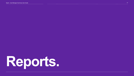<span id="page-16-0"></span>Spark - Cost Manager Summary User Guide 17 November 17 November 2008 17 November 2008 17 November 2008 17 November 2008 17 November 2008 17 November 2008 17 November 2008 17 November 2008 17 November 2008 17 November 2008

# **Reports.**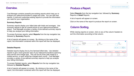# **Overview.**

Cost Manager contains powerful pre-existing reports which help you to analyse your telecommunication's usage and costs. You can add new reports, or edit and customise existing reports to provide the information you need for your organisation.

#### **Summary Reports**

Summary reports display your billed data with totals and averages. Use summary reports to get an overall picture of your telecommunications spend. Cost Manager provides a variety of pre-defined summary reports to help you analyse your billing information.

To access Summary reports, select **Reports** from the top navigation bar, followed by **Summary** Reports.

A list of reports will appear on screen. By clicking on the name of the report, the information contained within the report will then be displayed.

#### **Detailed Reports**

Detailed reports display line by line itemised billed data. Use detailed reports to get a more granular view of your telecommunications spend by each service and charge type. This can be all of the calls made by a mobile service, or each rental fee charged each month. Cost Manager provides a variety of pre-defined summary reports to help you analyse your billing information.

To access Detailed reports, select **Reports** from the top navigation bar, followed by **Detailed Reports**.

A list of reports will appear on screen. By clicking on the name of the report, the information contained within the report will then be displayed.

# **Produce a Report.**

Select **Reports** from the top navigation bar, followed by **Summary** Reports or **Detail** Reports.

A list of reports will appear on screen.

Click on the name of the report to produce the report on screen.

# **Column Sorting.**

While viewing reports on screen, click on any of the column headers to sort the information according to that column.

| Calls by Call Category                                 |                      |                        |                               |                |                                  | 2             |
|--------------------------------------------------------|----------------------|------------------------|-------------------------------|----------------|----------------------------------|---------------|
| Data                                                   | <b>Hierarchy</b>     |                        | <b>Level</b>                  |                | <b>Filter</b>                    |               |
| December 2017 statements -                             | (Mobile)             |                        | Corporate<br>$\cdot$          |                | $(None) -$<br>$\sim$<br>$\cdots$ |               |
| Edit<br>Order<br>Show<br>entries<br>$\mathbf{r}$<br>50 |                      |                        |                               |                | 侖<br>÷                           | 囲<br>Ιv       |
| <b>If</b><br><b>Call Category</b>                      | Average Cost/Call JT | Average Call Length IT | <b>Average Cost/Minute IT</b> | Total Calls JT | <b>Total Minutes IT</b>          | Total Cost IT |
| Others                                                 | \$0.01               | 2,611.34               | \$0.00                        | 50.196         | 131.079.001.55                   | \$353.31      |
| <b>National Calls</b>                                  | \$0.00               | 2.52                   | \$0.00                        | 18,284         | 46,159.98                        | \$11.33       |
| <b>Mobile Calls</b>                                    | \$0.01               | 1.53                   | \$0.01                        | 222,534        | 339.700.64                       | \$1,728.05    |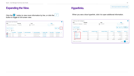# **Expanding the View.**

#### Click the **button to view more information by line**, or click the  $\begin{bmatrix} x \\ y \end{bmatrix}$ button to toggle to full screen view.

| <b>Itemised Call Details</b>                           |                                 |                                    |                                |                          |                        | 0                                           |
|--------------------------------------------------------|---------------------------------|------------------------------------|--------------------------------|--------------------------|------------------------|---------------------------------------------|
| <b>Data</b>                                            | <b>Hierarchy</b>                | Level                              |                                |                          | <b>Filter</b>          |                                             |
| November 2017 statements -                             | Corporate                       | Corporate<br>I.                    |                                | $\overline{\phantom{a}}$ | $(None) -$<br>$\cdots$ |                                             |
| Edit<br>Order<br>Show<br>entries<br>50<br>$\mathbf{r}$ |                                 |                                    |                                |                          |                        | 土                                           |
| Ħ.<br><b>Time Called</b><br><b>Date</b>                | IJ.<br>m.<br><b>Line Number</b> | <b>Service Description 1</b><br>Ħ. | <b>Service Description 2</b>   | <b>IT</b> Number Called  | IT Place Called        | $\mathbf{H}$<br>Iî.<br><b>Call Category</b> |
| 13/11/2017<br>19:44                                    | 033631240                       |                                    | <b>Test Description Export</b> | 0274540890               | <b>OTH NETWRK</b>      | Mobile Calls                                |
| 10/11/2017<br>08:40<br>$(+)$                           | 094760690                       | Craig                              | <b>Description 2 Test 4</b>    | 0212811993               | <b>OTH NETWRK</b>      | Mobile Calls                                |
| 01/11/2017<br>16:50<br>$_{(+)}$                        | 033631240                       |                                    | <b>Test Description Export</b> | 0274540890               | <b>OTH NETWRK</b>      | Mobile Calls                                |

**Hyperlinks.**

When you see a blue hyperlink, click it to open additional information.

| <b>Data</b>                                      | <b>Hierarchy</b>     |                        | <b>Level</b>                          |                | <b>Filter</b>                                      |                                                              |
|--------------------------------------------------|----------------------|------------------------|---------------------------------------|----------------|----------------------------------------------------|--------------------------------------------------------------|
| December 2017 statements -                       | (Mobile)             |                        | Corporate<br>$\overline{\phantom{a}}$ |                | $(None) -$<br>$\overline{\phantom{a}}$<br>$\cdots$ |                                                              |
| Edit<br>Order<br>$\bullet$ entries<br>Show<br>50 |                      |                        |                                       |                | 土<br>$\mathbf{r}^{\mathbf{R}}$<br>ШI               | Ιv<br>囲                                                      |
|                                                  |                      |                        |                                       |                |                                                    |                                                              |
| Ħ<br><b>Call Category</b>                        | Average Cost/Call JT | Average Call Length IT | <b>Average Cost/Minute IT</b>         | Total Calls JT | <b>Total Minutes IT</b>                            |                                                              |
| Others                                           | \$0.01               | 2,611.34               | \$0.00                                | 50,196         | 131,079,001.55                                     |                                                              |
| <b>National Calls</b>                            | \$0.00               | 2.52                   | \$0.00                                | 18,284         | 46,159.98                                          |                                                              |
| <b>Mobile Calls</b>                              | \$0.01               | 1.53                   | \$0.01                                | 222,534        | 339,700.64                                         |                                                              |
| <b>Local Calls</b>                               | \$0.16               | 4.44                   | \$0.04                                | 16             | 71.00                                              | Total Cost JT<br>\$353.31<br>\$11.33<br>\$1,728.05<br>\$2.52 |
| <b>International Calls</b>                       | \$0.45               | 128.09                 | \$0.00                                | 8,696          | 1,113,907.00                                       | \$3,883.26                                                   |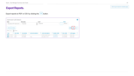# **Export Reports.**

| <b>Itemised Call Details</b>                                                             |                                       |                                    |                                           |                                   |                                  | (?                        |
|------------------------------------------------------------------------------------------|---------------------------------------|------------------------------------|-------------------------------------------|-----------------------------------|----------------------------------|---------------------------|
| <b>Data</b>                                                                              | <b>Hierarchy</b>                      | <b>Level</b>                       |                                           |                                   | <b>Filter</b>                    |                           |
| November 2017 statements <del>▼</del>                                                    | Corporate                             | Corporate<br>×                     |                                           | $\mathbf{v}$<br>1.11              | $(None)$ –                       |                           |
| Edit<br>Order<br>Show<br>$\blacktriangleright$ entries<br>50                             |                                       |                                    |                                           |                                   |                                  |                           |
| 耳<br><b>Time Called</b><br><b>Date</b>                                                   | ĮŤ<br><b>It</b><br><b>Line Number</b> | IJ<br><b>Service Description 1</b> | <b>It</b><br><b>Service Description 2</b> | <b>It</b><br><b>Number Called</b> | <b>II</b><br><b>Place Called</b> | ा<br><b>Call Category</b> |
| $\bigoplus$<br>13/11/2017<br>19:44                                                       | 033631240                             |                                    | <b>Test Description Export</b>            | 0274540890                        | <b>OTH NETWRK</b>                | <b>Mobile Calls</b>       |
| $\left( \begin{matrix} \text{ } \\ \text{ } \end{matrix} \right)$<br>10/11/2017<br>08:40 | 094760690                             | Craig                              | Description 2 Test 4                      | 0212811993                        | <b>OTH NETWRK</b>                | <b>Mobile Calls</b>       |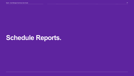# **Schedule Reports.**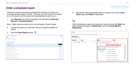#### **Order a scheduled report .**

Ordering a report automatically schedules the delivery of a report on a recurring day each week or month. This way, you don't have to remember to run the reports and the reports will automatically be sent to you.

1. Click **Reports** from the top navigation bar followed by **Summary Reports** or **Detailed Reports**.

Note: Detail reports provide line by line itemization of each charge

- 2. Choose the report you need from the list of reports available on screen.
- 3. Click the **Order Report** button

| <b>Summary Reports</b>                | Ω                   |
|---------------------------------------|---------------------|
| <b>Data</b>                           |                     |
| December 2018 statements <del>▼</del> |                     |
| <b>View Order Status</b>              |                     |
| <b>Call Detail</b>                    | <b>Order Report</b> |
| <b>■</b> Calls by Call Category       | 巤                   |
| Calls by Call Type / Rate             | 龠                   |
| I Calls by Day of Week Graph          | 龠                   |
| Calls by Line Number                  | 龠                   |
| Calls by Rate Period / Call Category  | 巤                   |
| Iv Calls by Rate Period Graph         | 龠                   |
| Top Frequently Called Numbers         | 龠                   |

4. Choose the report parameters that you require such as the **Level, Data** range, and **Filters** if applicable.

#### **Tip**:

When scheduling a report to be sent each month, ensure the **Data** drop down selected is based on **Billed Date**, and the **Current Month's Statements**.

| Order                                                                                  |                                                       |
|----------------------------------------------------------------------------------------|-------------------------------------------------------|
| To narrow the scope of the order, modify the settings below.                           |                                                       |
| <b>Report Name</b><br><b>Itemised Call Details</b>                                     |                                                       |
| <b>Hierarchy</b><br><b>Level</b>                                                       | <b>Filter</b><br><b>Data</b>                          |
| Corporate<br>Corporate<br>$\blacktriangledown$<br>$\overline{\phantom{a}}$<br>$\cdots$ | $(None) -$<br>Current month's statements -            |
|                                                                                        | <b>Current month's statements</b><br>All Data         |
|                                                                                        | Previous month's statements<br><b>Billed Date</b>     |
|                                                                                        | 15/11/2018 statement                                  |
|                                                                                        | <b>Activity Date</b><br>15/10/2018 statement<br>Ξ     |
|                                                                                        | 15/09/2018 statement                                  |
|                                                                                        | November 2018 statements                              |
|                                                                                        | October 2018 statements                               |
|                                                                                        | September 2018 statements<br>$\overline{\phantom{a}}$ |
|                                                                                        |                                                       |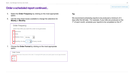## **Order a scheduled report continued...**

- 5. Select the **Order Frequency** by clicking on the most appropriate option.
- 6. Use the drop-down boxes available to change the selections for **Weekly** or **Monthly**



7. Choose the **Order Format** by clicking on the most appropriate option.



**Tip:**

We recommend scheduling reports to be produced a minimum of 3 days after the bill date. For example, if your bills are produced on the 1<sup>st</sup> of each month, schedule your reports to be completed on the 4<sup>th</sup>.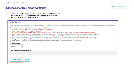#### **Order a scheduled report continued...**

8. Choose the **Order Delivery** method, and enter any additional email addresses in the **Send Additional Notification To** field. Click **Submit Order** to complete your order

#### **Order Delivery**

Select your preference for order delivery upon completion of your order. To send notification to additional recipients, enter their e-mail addresses separated by semicolons.

- ◉ Do not send e-mail notification when my order is complete.<br>This option will not send any notification when the report is available.
- Notify me by e-mail when my order is complete. This option will advise you by email that your report is ready. You will need to log into Cost Manager and download it from the Download Centre.
- O Notify me and any additional recipients entered below by e-mail, and include a link to download the order without logging into the application. This option will send you and additional recipients and email with a link to the report. The link will expire in 15 days and cannot be re-sent.
- O Notify me and any additional recipients entered below by e-mail, and attach the completed order. Files exceeding 2MB will not be attached. This option will send you and additional recipeints an email with the report attached.
- no Notify me and any additional recipients entered below by e-mail, and send the order to the selected SFTP location.

#### **SFTP Locations**

Globys

#### **Send Additional Notification To**

 $\overline{\phantom{a}}$ 

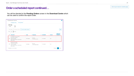# **Order a scheduled report continued…**

You will be directed to the **Pending Orders** screen in the **Download Centre** which can be used to confirm the report order.

|                                    | <b>Download Centre</b>                                                 |                       |                             |                        |                  |                        | ℯ                                         |
|------------------------------------|------------------------------------------------------------------------|-----------------------|-----------------------------|------------------------|------------------|------------------------|-------------------------------------------|
|                                    | <b>Completed Orders</b>                                                | <b>Pending Orders</b> |                             |                        |                  |                        |                                           |
| <b>Order Type</b><br><b>Detail</b> | $\blacktriangledown$                                                   |                       |                             |                        |                  |                        |                                           |
| <b>Edit Order</b><br>Show<br>250   | <b>Remove Orders</b><br>$\blacktriangleright$ entries                  |                       | <b>Go To Another Report</b> |                        |                  |                        | 志                                         |
| $\Box$                             | <b>Document</b>                                                        |                       | If Type<br>Jî.              | IΞ<br><b>Frequency</b> | <b>Scheduled</b> | <b>If</b> Format<br>T. | <b>Additional</b><br><b>Recipients IT</b> |
| $\Box$                             | All Charges by Line Number<br>Hierarchy: Corporate<br>Level: Corporate |                       | All Charges                 | Monthly:               | 01/12/2017       | <b>CSV</b>             |                                           |
|                                    | Data: December 2017 statements<br>Filter: None                         |                       |                             | 1st of each month      |                  |                        |                                           |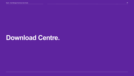# **Download Centre.**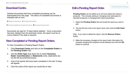### **Download Centre.**

Ordered documents that have completed processing can be downloaded from this page. The status of completed documents is indicated with an icon:

La Ready To Download V Already Downloaded

⊘ No Data Available To Create Document © Document Expires Soon

Documents are kept for 15 days before deletion. Once a document has been deleted from the download centre, the report must be rerun/re-ordered if the data is required.

# **View Completed or Pending Report Orders.**

To View Completed or Pending Report Orders:

- 1. Click **Download Centre** and click on the **Completed Orders** or the **Pending Orders** Tab.
- 2. Use the **Order Type** drop down box to select **Summary**, **Detail**, **Cost Allocation** or **Statements** (note, statements are not the bill documents/invoices).
- 3. A list of all reports that have been completed in the last 15 days will appear.
- 4. Click the name of the report you would like to view.

# **Edit a Pending Report Order.**

**Pending Orders** can be edited up to 24 hours before the report is produced. This includes adding or changing email addresses for intended recipients or changing other report parameters.

- 1. Select the **Pending Orders** tab and locate the report you wish to edit.
- 2. Tick the tick box next to the report name, then click the **Edit Order**  button.

Note: If you wish to delete the report, click the **Remove Orders**  button.

3. Make the necessary changes to the report order information (for example changing the recipient's email address) and click the **OK**  button to continue.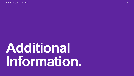# <span id="page-27-0"></span>**Additional Information.**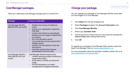## **Cost Manager packages.**

There are 2 alternative Cost Manager package types to choose from:

| <b>Package</b>                                             | <b>Features &amp; Benefits</b>                                                                                                                                                                                                                                                                                                                                                                                                                                                |
|------------------------------------------------------------|-------------------------------------------------------------------------------------------------------------------------------------------------------------------------------------------------------------------------------------------------------------------------------------------------------------------------------------------------------------------------------------------------------------------------------------------------------------------------------|
| <b>Cost Manager Monthly</b><br>$($59.95+GST$ per month)    | Multiple User Access (9 additional<br>$\bullet$<br>users)<br>Access your organisation's electronic<br>$\bullet$<br><b>PDF Bills</b><br><b>Create Cost Centres to automatically</b><br>allocate cost and usage to departments<br>or locations.<br>Run Cost Allocation reports.<br>16 pre-defined summary reports with 6<br>detailed reports.<br>Add Bill Line Descriptions or free text<br>descriptions.<br>Automatic reporting that reduces<br>administrative time and costs. |
| Cost Manager Monthly +<br>Daily (\$89.95+GST per<br>month) | Cost Manager Monthly features plus:<br>Unbilled reporting enables monitoring of<br>usage before billing<br>Email alerts to identify any abnormal<br>usage<br>Pre-bill transparency to enable<br>management of budgets proactively.                                                                                                                                                                                                                                            |

# **Change your package.**

You can upgrade your package to Cost Manager Monthly online after you have logged in to Cost Manager..

- 1. Click **Setup** from the top navigation bar
- 2. Select **Packages** located in the **Account Information** area
- 3. Click **Cost Manager Monthly**
- 4. Select your **activation Date**
- 5. Tick the tick box to confirm that you have read and accepted the **Terms of Use** (after reading these terms)
- 6. Click **OK**

To upgrade your package to Cost Manager Daily, please contact the Spark Cost Manager Team at [costmanager@spark.co.nz.](mailto:costmanager@spark.co.nz)

For more information about the packages available, please visit us at [www.sparkdigital.co.nz/costmanager.](http://www.sparkdigital.co.nz/costmanager)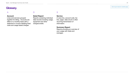# **Glossary.**

#### **Account**

Lines and services grouped together for billing. Accounts are billed on a monthly basis with a statement or invoice detailing fixed costs and usage based charges

#### D

#### **Detail Report**

Reports containing individual data records including usage, equipment and other charges/credits

S

**Service**

A voice line, account code, fax line, pager, data circuit or other recurring transmission of information.

#### **Summary Report**

Reports providing an overview of your usage with totals and averages.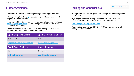#### **Further Assistance.**

Online help is available on each page once you have logged into Cost

Manager. Simply click the  $\bullet\bullet\bullet$  icon at the top right hand corner of each page to view more information.

If you are unable to find the answer you are looking for, please email us at [costmanager@spark.co.nz](mailto:costmanager@spark.co.nz). A Cost Manager consultant can assist you further with your enquiry.

For assistance with billing enquiries or to make changes to your Spark Account, please contact one of the below areas:

| <b>Spark Corporate Clients</b>   | <b>Spark Government Clients</b> |
|----------------------------------|---------------------------------|
| 0800 482 290                     | 0800 264 428                    |
| CorporateServiceDesk@spark.co.nz | aog.servicedesk@spark.co.nz     |
| <b>Spark Small Business</b>      | <b>Mobile Requests</b>          |
| 126                              | 0800 264 428                    |
| business@spark.co.nz             | MobileDirect@spark.co.nz        |
|                                  |                                 |

### **Training and Consultations.**

In conjunction with this user guide, Cost Manager has been designed for intuitive use.

If you require additional training, this can be arranged with a Cost Manager consultant via Skype or Web Ex by completing the

[Cost Manager Training Request Form.](https://www.spark.co.nz/business/shop/webservices/costmanager/training/)

A standard consultation fee of \$149.95+GST per hour applies for all training and consultations.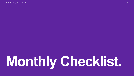# **Monthly Checklist.**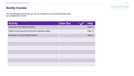# **Monthly Checklist.**

The Cost Manager Administrator can use this checklist to ensure that all important tasks are completed each month.

| <b>Activity</b>                                         | <b>Date Due</b> | <b>Help</b> |
|---------------------------------------------------------|-----------------|-------------|
| Download or Print Monthly Invoices                      |                 | Page 12     |
| Check for new accounts and convert to paperless billing |                 | Page 12     |
| Download or Produce Monthly Reports                     |                 | Page 17     |
|                                                         |                 |             |
|                                                         |                 |             |
|                                                         |                 |             |
|                                                         |                 |             |
|                                                         |                 |             |
|                                                         |                 |             |
|                                                         |                 |             |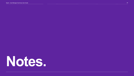# <span id="page-33-0"></span>**Notes.**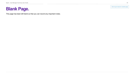Click to go to back to Contents page

# **Blank Page.**

This page has been left blank so that you can record any important notes.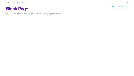Click to go to back to Contents page

# **Blank Page.**

This page has been left blank so that you can record any important notes.